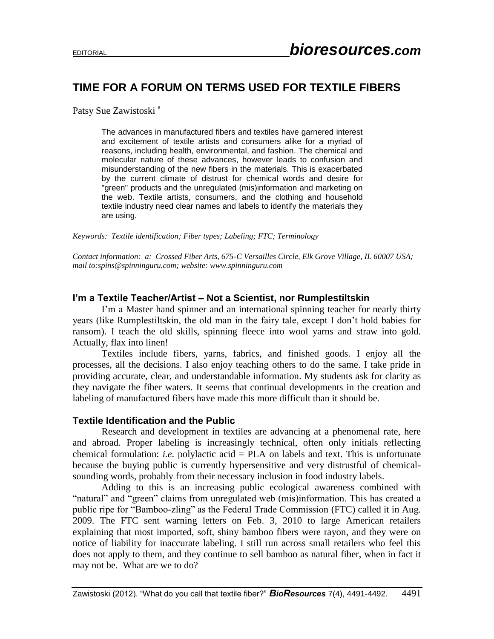# **TIME FOR A FORUM ON TERMS USED FOR TEXTILE FIBERS**

Patsy Sue Zawistoski<sup>a</sup>

The advances in manufactured fibers and textiles have garnered interest and excitement of textile artists and consumers alike for a myriad of reasons, including health, environmental, and fashion. The chemical and molecular nature of these advances, however leads to confusion and misunderstanding of the new fibers in the materials. This is exacerbated by the current climate of distrust for chemical words and desire for "green" products and the unregulated (mis)information and marketing on the web. Textile artists, consumers, and the clothing and household textile industry need clear names and labels to identify the materials they are using.

*Keywords: Textile identification; Fiber types; Labeling; FTC; Terminology*

*Contact information: a: Crossed Fiber Arts, 675-C Versailles Circle, Elk Grove Village, IL 60007 USA; mail to:spins@spinninguru.com; website: www.spinninguru.com*

### **I'm a Textile Teacher/Artist – Not a Scientist, nor Rumplestiltskin**

I'm a Master hand spinner and an international spinning teacher for nearly thirty years (like Rumplestiltskin, the old man in the fairy tale, except I don't hold babies for ransom). I teach the old skills, spinning fleece into wool yarns and straw into gold. Actually, flax into linen!

Textiles include fibers, yarns, fabrics, and finished goods. I enjoy all the processes, all the decisions. I also enjoy teaching others to do the same. I take pride in providing accurate, clear, and understandable information. My students ask for clarity as they navigate the fiber waters. It seems that continual developments in the creation and labeling of manufactured fibers have made this more difficult than it should be.

#### **Textile Identification and the Public**

Research and development in textiles are advancing at a phenomenal rate, here and abroad. Proper labeling is increasingly technical, often only initials reflecting chemical formulation: *i.e.* polylactic acid  $=$  PLA on labels and text. This is unfortunate because the buying public is currently hypersensitive and very distrustful of chemicalsounding words, probably from their necessary inclusion in food industry labels.

Adding to this is an increasing public ecological awareness combined with "natural" and "green" claims from unregulated web (mis)information. This has created a public ripe for "Bamboo-zling" as the Federal Trade Commission (FTC) called it in Aug. 2009. The FTC sent warning letters on Feb. 3, 2010 to large American retailers explaining that most imported, soft, shiny bamboo fibers were rayon, and they were on notice of liability for inaccurate labeling. I still run across small retailers who feel this does not apply to them, and they continue to sell bamboo as natural fiber, when in fact it may not be. What are we to do?